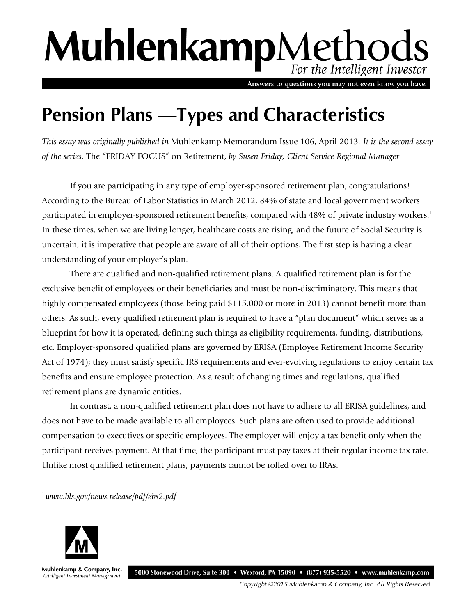# MuhlenkampMethods For the Intelligent Investor

Answers to questions you may not even know you have.

## **Pension Plans —Types and Characteristics**

*This essay was originally published in* Muhlenkamp Memorandum Issue 106, April 2013*. It is the second essay of the series,* The "FRIDAY FOCUS" on Retirement, *by Susen Friday, Client Service Regional Manager.*

If you are participating in any type of employer-sponsored retirement plan, congratulations! According to the Bureau of Labor Statistics in March 2012, 84% of state and local government workers participated in employer-sponsored retirement benefits, compared with 48% of private industry workers.<sup>1</sup> In these times, when we are living longer, healthcare costs are rising, and the future of Social Security is uncertain, it is imperative that people are aware of all of their options. The first step is having a clear understanding of your employer's plan.

There are qualified and non-qualified retirement plans. A qualified retirement plan is for the exclusive benefit of employees or their beneficiaries and must be non-discriminatory. This means that highly compensated employees (those being paid \$115,000 or more in 2013) cannot benefit more than others. As such, every qualified retirement plan is required to have a "plan document" which serves as a blueprint for how it is operated, defining such things as eligibility requirements, funding, distributions, etc. Employer-sponsored qualified plans are governed by ERISA (Employee Retirement Income Security Act of 1974); they must satisfy specific IRS requirements and ever-evolving regulations to enjoy certain tax benefits and ensure employee protection. As a result of changing times and regulations, qualified retirement plans are dynamic entities.

In contrast, a non-qualified retirement plan does not have to adhere to all ERISA guidelines, and does not have to be made available to all employees. Such plans are often used to provide additional compensation to executives or specific employees. The employer will enjoy a tax benefit only when the participant receives payment. At that time, the participant must pay taxes at their regular income tax rate. Unlike most qualified retirement plans, payments cannot be rolled over to IRAs.

1 *www.bls.gov/news.release/pdf/ebs2.pdf*



Muhlenkamp & Company, Inc. Intelligent Investment Management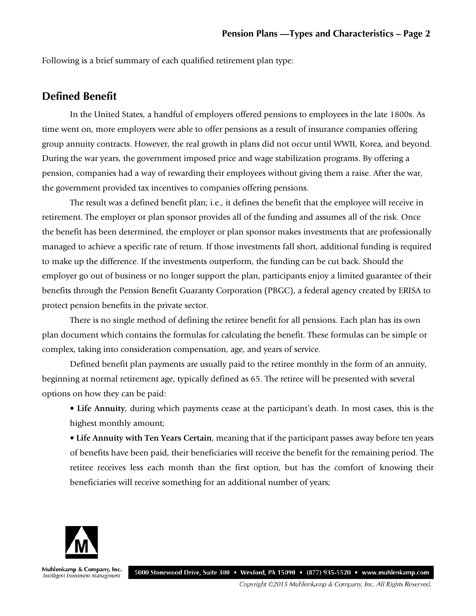Following is a brief summary of each qualified retirement plan type:

#### **Defined Benefit**

In the United States, a handful of employers offered pensions to employees in the late 1800s. As time went on, more employers were able to offer pensions as a result of insurance companies offering group annuity contracts. However, the real growth in plans did not occur until WWII, Korea, and beyond. During the war years, the government imposed price and wage stabilization programs. By offering a pension, companies had a way of rewarding their employees without giving them a raise. After the war, the government provided tax incentives to companies offering pensions.

The result was a defined benefit plan; i.e., it defines the benefit that the employee will receive in retirement. The employer or plan sponsor provides all of the funding and assumes all of the risk. Once the benefit has been determined, the employer or plan sponsor makes investments that are professionally managed to achieve a specific rate of return. If those investments fall short, additional funding is required to make up the difference. If the investments outperform, the funding can be cut back. Should the employer go out of business or no longer support the plan, participants enjoy a limited guarantee of their benefits through the Pension Benefit Guaranty Corporation (PBGC), a federal agency created by ERISA to protect pension benefits in the private sector.

There is no single method of defining the retiree benefit for all pensions. Each plan has its own plan document which contains the formulas for calculating the benefit. These formulas can be simple or complex, taking into consideration compensation, age, and years of service.

Defined benefit plan payments are usually paid to the retiree monthly in the form of an annuity, beginning at normal retirement age, typically defined as 65. The retiree will be presented with several options on how they can be paid:

• **Life Annuity**, during which payments cease at the participant's death. In most cases, this is the highest monthly amount;

• **Life Annuity with Ten Years Certain**, meaning that if the participant passes away before ten years of benefits have been paid, their beneficiaries will receive the benefit for the remaining period. The retiree receives less each month than the first option, but has the comfort of knowing their beneficiaries will receive something for an additional number of years;



Muhlenkamp & Company, Inc. 5000 Stonewood Drive, Suite 300 • Wexford, PA 15090 • (877) 935-5520 • www.muhlenkamp.com Intelligent Investment Management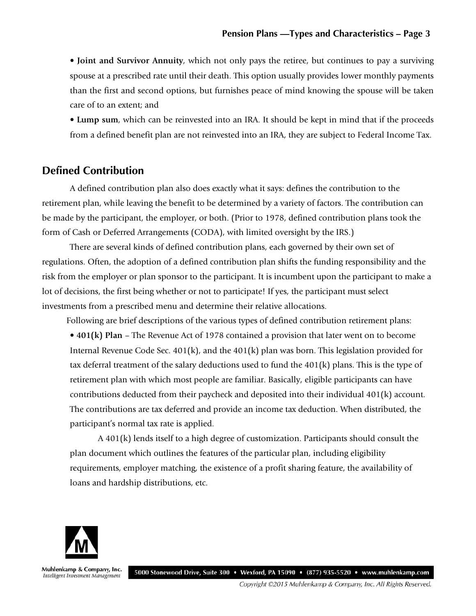• **Joint and Survivor Annuity**, which not only pays the retiree, but continues to pay a surviving spouse at a prescribed rate until their death. This option usually provides lower monthly payments than the first and second options, but furnishes peace of mind knowing the spouse will be taken care of to an extent; and

• **Lump sum**, which can be reinvested into an IRA. It should be kept in mind that if the proceeds from a defined benefit plan are not reinvested into an IRA, they are subject to Federal Income Tax.

#### **Defined Contribution**

A defined contribution plan also does exactly what it says: defines the contribution to the retirement plan, while leaving the benefit to be determined by a variety of factors. The contribution can be made by the participant, the employer, or both. (Prior to 1978, defined contribution plans took the form of Cash or Deferred Arrangements (CODA), with limited oversight by the IRS.)

There are several kinds of defined contribution plans, each governed by their own set of regulations. Often, the adoption of a defined contribution plan shifts the funding responsibility and the risk from the employer or plan sponsor to the participant. It is incumbent upon the participant to make a lot of decisions, the first being whether or not to participate! If yes, the participant must select investments from a prescribed menu and determine their relative allocations.

Following are brief descriptions of the various types of defined contribution retirement plans:

• **401(k) Plan** – The Revenue Act of 1978 contained a provision that later went on to become Internal Revenue Code Sec.  $401(k)$ , and the  $401(k)$  plan was born. This legislation provided for tax deferral treatment of the salary deductions used to fund the 401(k) plans. This is the type of retirement plan with which most people are familiar. Basically, eligible participants can have contributions deducted from their paycheck and deposited into their individual 401(k) account. The contributions are tax deferred and provide an income tax deduction. When distributed, the participant's normal tax rate is applied.

A 401(k) lends itself to a high degree of customization. Participants should consult the plan document which outlines the features of the particular plan, including eligibility requirements, employer matching, the existence of a profit sharing feature, the availability of loans and hardship distributions, etc.



Muhlenkamp & Company, Inc. 5000 Stonewood Drive, Suite 300 • Wexford, PA 15090 • (877) 935-5520 • www.muhlenkamp.com Intelligent Investment Management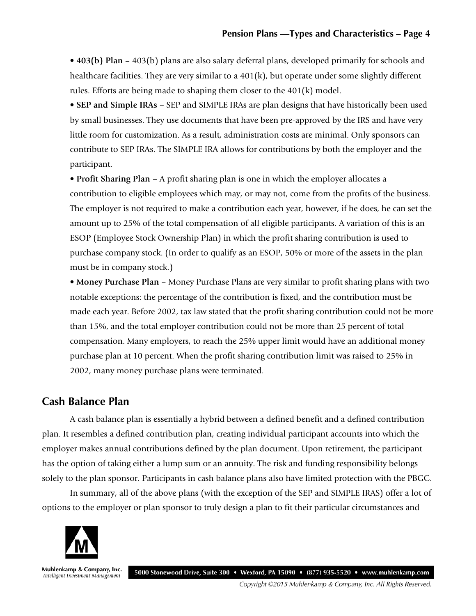• **403(b) Plan** – 403(b) plans are also salary deferral plans, developed primarily for schools and healthcare facilities. They are very similar to a  $401(k)$ , but operate under some slightly different rules. Efforts are being made to shaping them closer to the 401(k) model.

• **SEP and Simple IRAs** – SEP and SIMPLE IRAs are plan designs that have historically been used by small businesses. They use documents that have been pre-approved by the IRS and have very little room for customization. As a result, administration costs are minimal. Only sponsors can contribute to SEP IRAs. The SIMPLE IRA allows for contributions by both the employer and the participant.

• **Profit Sharing Plan** – A profit sharing plan is one in which the employer allocates a contribution to eligible employees which may, or may not, come from the profits of the business. The employer is not required to make a contribution each year, however, if he does, he can set the amount up to 25% of the total compensation of all eligible participants. A variation of this is an ESOP (Employee Stock Ownership Plan) in which the profit sharing contribution is used to purchase company stock. (In order to qualify as an ESOP, 50% or more of the assets in the plan must be in company stock.)

• **Money Purchase Plan** – Money Purchase Plans are very similar to profit sharing plans with two notable exceptions: the percentage of the contribution is fixed, and the contribution must be made each year. Before 2002, tax law stated that the profit sharing contribution could not be more than 15%, and the total employer contribution could not be more than 25 percent of total compensation. Many employers, to reach the 25% upper limit would have an additional money purchase plan at 10 percent. When the profit sharing contribution limit was raised to 25% in 2002, many money purchase plans were terminated.

### **Cash Balance Plan**

A cash balance plan is essentially a hybrid between a defined benefit and a defined contribution plan. It resembles a defined contribution plan, creating individual participant accounts into which the employer makes annual contributions defined by the plan document. Upon retirement, the participant has the option of taking either a lump sum or an annuity. The risk and funding responsibility belongs solely to the plan sponsor. Participants in cash balance plans also have limited protection with the PBGC.

In summary, all of the above plans (with the exception of the SEP and SIMPLE IRAS) offer a lot of options to the employer or plan sponsor to truly design a plan to fit their particular circumstances and



Muhlenkamp & Company, Inc. 5000 Stonewood Drive, Suite 300 • Wexford, PA 15090 • (877) 935-5520 • www.muhlenkamp.com Intelligent Investment Management